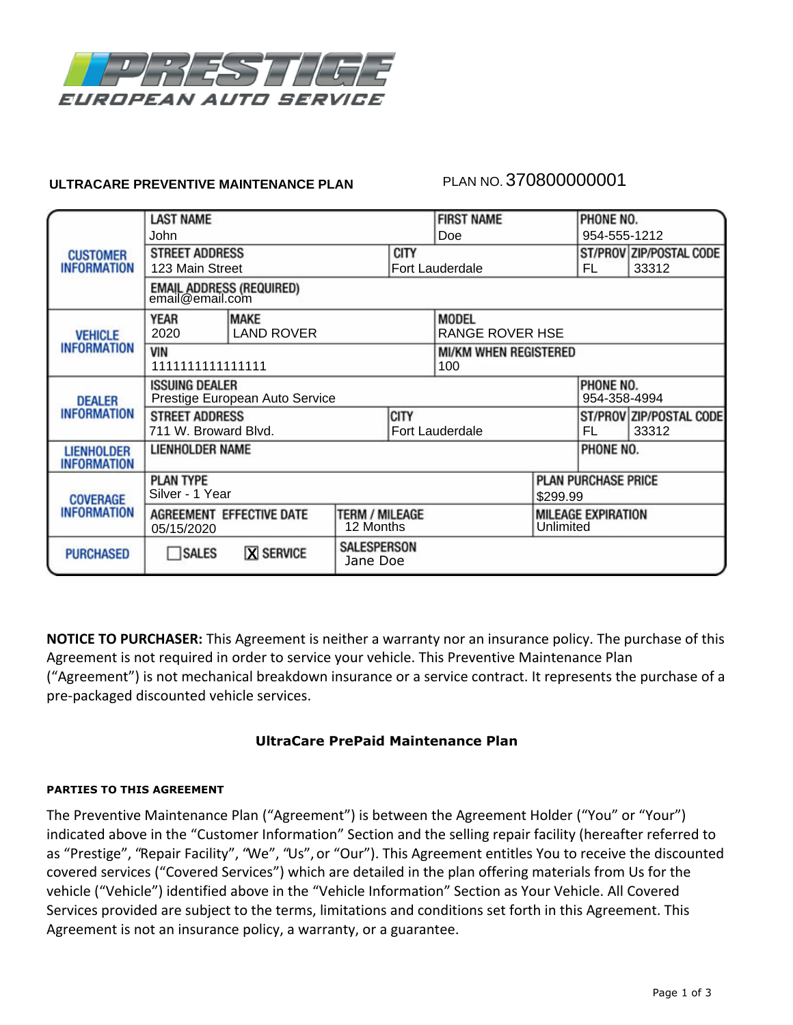

## **ULTRACARE PREVENTIVE MAINTENANCE PLAN**

# PLAN NO. 370800000001

|                                       | <b>LAST NAME</b>                                  |                   |             |                        | <b>FIRST NAME</b>            |                            | PHONE NO.                 |                         |  |
|---------------------------------------|---------------------------------------------------|-------------------|-------------|------------------------|------------------------------|----------------------------|---------------------------|-------------------------|--|
| <b>CUSTOMER</b><br><b>INFORMATION</b> |                                                   |                   |             |                        |                              |                            |                           |                         |  |
|                                       | John                                              |                   |             | Doe                    |                              | 954-555-1212               |                           |                         |  |
|                                       | <b>STREET ADDRESS</b>                             |                   |             | <b>CITY</b>            |                              |                            | ST/PROV ZIP/POSTAL CODE   |                         |  |
|                                       | 123 Main Street                                   |                   |             | Fort Lauderdale        |                              |                            | FL.                       | 33312                   |  |
|                                       | EMAIL ADDRESS (REQUIRED)<br>email@email.com       |                   |             |                        |                              |                            |                           |                         |  |
| <b>VEHICLE</b><br>INFORMATION         | <b>MAKE</b><br>YEAR                               |                   |             |                        | <b>MODEL</b>                 |                            |                           |                         |  |
|                                       | 2020                                              | <b>LAND ROVER</b> |             |                        | RANGE ROVER HSE              |                            |                           |                         |  |
|                                       | <b>VIN</b>                                        |                   |             |                        | <b>MI/KM WHEN REGISTERED</b> |                            |                           |                         |  |
|                                       | 1111111111111111                                  |                   |             |                        | 100                          |                            |                           |                         |  |
| <b>DEALER</b><br><b>INFORMATION</b>   | PHONE NO.<br><b>ISSUING DEALER</b>                |                   |             |                        |                              |                            |                           |                         |  |
|                                       | Prestige European Auto Service<br>954-358-4994    |                   |             |                        |                              |                            |                           |                         |  |
|                                       | <b>STREET ADDRESS</b>                             |                   |             | <b>CITY</b>            |                              |                            |                           | ST/PROV ZIP/POSTAL CODE |  |
|                                       | 711 W. Broward Blvd.                              |                   |             | <b>Fort Lauderdale</b> |                              | FL.                        | 33312                     |                         |  |
| <b>LIENHOLDER</b>                     | LIENHOLDER NAME                                   |                   |             |                        |                              |                            | PHONE NO.                 |                         |  |
| <b>INFORMATION</b>                    |                                                   |                   |             |                        |                              |                            |                           |                         |  |
| <b>COVERAGE</b><br>INFORMATION        | <b>PLAN TYPE</b>                                  |                   |             |                        |                              | <b>PLAN PURCHASE PRICE</b> |                           |                         |  |
|                                       | Silver - 1 Year                                   |                   |             |                        | \$299.99                     |                            |                           |                         |  |
|                                       | <b>TERM / MILEAGE</b><br>AGREEMENT EFFECTIVE DATE |                   |             |                        |                              |                            | <b>MILEAGE EXPIRATION</b> |                         |  |
|                                       | 12 Months<br>05/15/2020                           |                   |             |                        |                              | Unlimited                  |                           |                         |  |
|                                       | <b>X SERVICE</b>                                  |                   | SALESPERSON |                        |                              |                            |                           |                         |  |
| <b>PURCHASED</b>                      | SALES                                             | Jane Doe          |             |                        |                              |                            |                           |                         |  |
|                                       |                                                   |                   |             |                        |                              |                            |                           |                         |  |

**NOTICE TO PURCHASER:** This Agreement is neither a warranty nor an insurance policy. The purchase of this Agreement is not required in order to service your vehicle. This Preventive Maintenance Plan ("Agreement") is not mechanical breakdown insurance or a service contract. It represents the purchase of a pre-packaged discounted vehicle services.

## **UltraCare PrePaid Maintenance Plan**

## **PARTIES TO THIS AGREEMENT**

The Preventive Maintenance Plan ("Agreement") is between the Agreement Holder ("You" or "Your") indicated above in the "Customer Information" Section and the selling repair facility (hereafter referred to as "Prestige", "Repair Facility", "We", "Us", or "Our"). This Agreement entitles You to receive the discounted covered services ("Covered Services") which are detailed in the plan offering materials from Us for the vehicle ("Vehicle") identified above in the "Vehicle Information" Section as Your Vehicle. All Covered Services provided are subject to the terms, limitations and conditions set forth in this Agreement. This Agreement is not an insurance policy, a warranty, or a guarantee.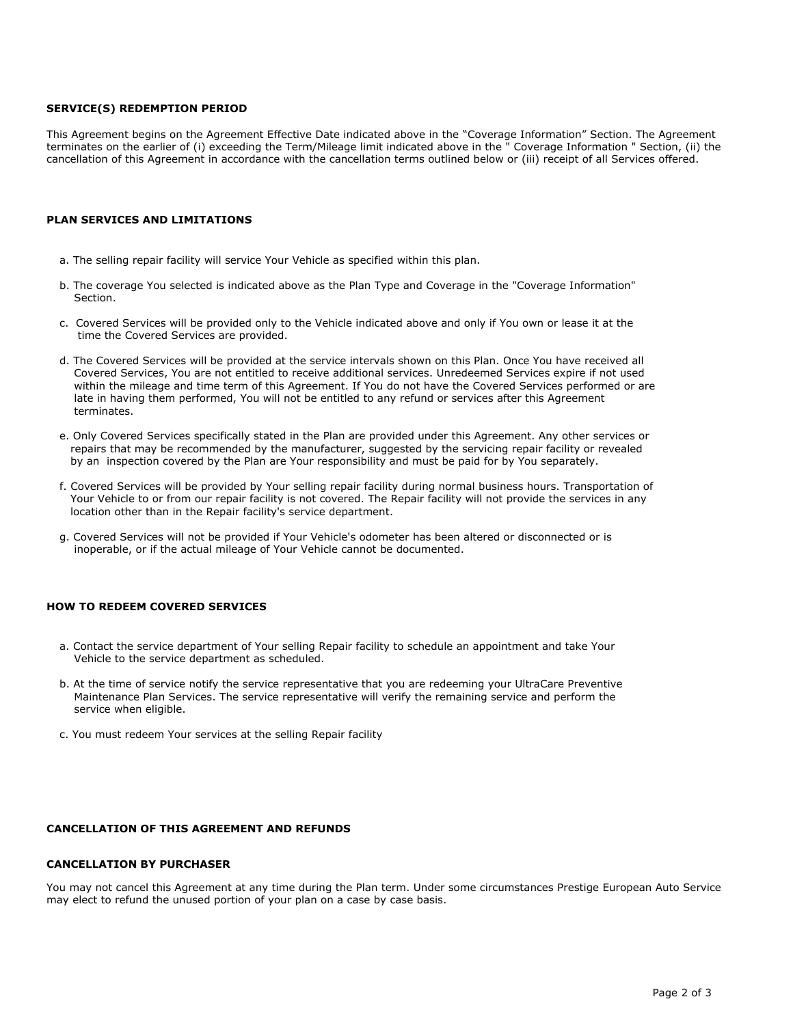#### **SERVICE(S) REDEMPTION PERIOD**

This Agreement begins on the Agreement Effective Date indicated above in the "Coverage Information" Section. The Agreement terminates on the earlier of (i) exceeding the Term/Mileage limit indicated above in the " Coverage Information " Section, (ii) the cancellation of this Agreement in accordance with the cancellation terms outlined below or (iii) receipt of all Services offered.

### **PLAN SERVICES AND LIMITATIONS**

- a. The selling repair facility will service Your Vehicle as specified within this plan.
- b. The coverage You selected is indicated above as the Plan Type and Coverage in the "Coverage Information" Section.
- c. Covered Services will be provided only to the Vehicle indicated above and only if You own or lease it at the time the Covered Services are provided.
- d. The Covered Services will be provided at the service intervals shown on this Plan. Once You have received all Covered Services, You are not entitled to receive additional services. Unredeemed Services expire if not used within the mileage and time term of this Agreement. If You do not have the Covered Services performed or are late in having them performed, You will not be entitled to any refund or services after this Agreement terminates.
- e. Only Covered Services specifically stated in the Plan are provided under this Agreement. Any other services or repairs that may be recommended by the manufacturer, suggested by the servicing repair facility or revealed by an inspection covered by the Plan are Your responsibility and must be paid for by You separately.
- f. Covered Services will be provided by Your selling repair facility during normal business hours. Transportation of Your Vehicle to or from our repair facility is not covered. The Repair facility will not provide the services in any location other than in the Repair facility's service department.
- g. Covered Services will not be provided if Your Vehicle's odometer has been altered or disconnected or is inoperable, or if the actual mileage of Your Vehicle cannot be documented.

### **HOW TO REDEEM COVERED SERVICES**

- a. Contact the service department of Your selling Repair facility to schedule an appointment and take Your Vehicle to the service department as scheduled.
- b. At the time of service notify the service representative that you are redeeming your UltraCare Preventive Maintenance Plan Services. The service representative will verify the remaining service and perform the service when eligible.
- c. You must redeem Your services at the selling Repair facility

#### **CANCELLATION OF THIS AGREEMENT AND REFUNDS**

#### **CANCELLATION BY PURCHASER**

You may not cancel this Agreement at any time during the Plan term. Under some circumstances Prestige European Auto Service may elect to refund the unused portion of your plan on a case by case basis.